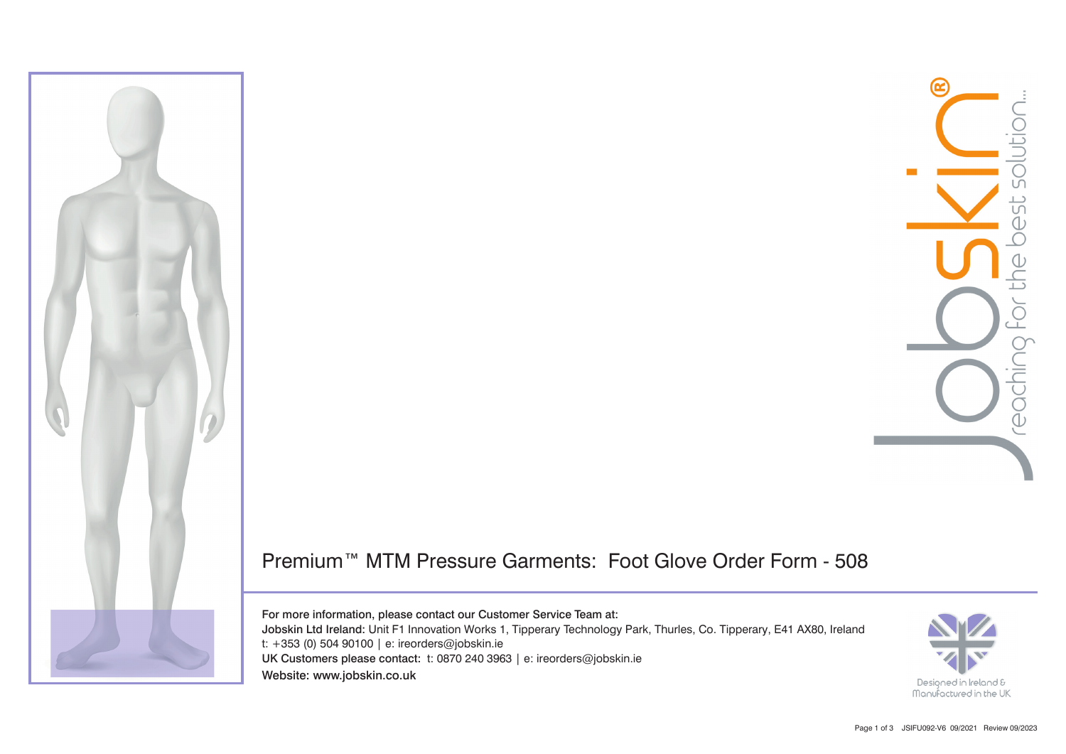

## Premium™ MTM Pressure Garments: Foot Glove Order Form - 508

For more information, please contact our Customer Service Team at: Jobskin Ltd Ireland: Unit F1 Innovation Works 1, Tipperary Technology Park, Thurles, Co. Tipperary, E41 AX80, Ireland t: +353 (0) 504 90100 | e: ireorders@jobskin.ie UK Customers please contact: t: 0870 240 3963 | e: ireorders@jobskin.ie Website: www.jobskin.co.uk

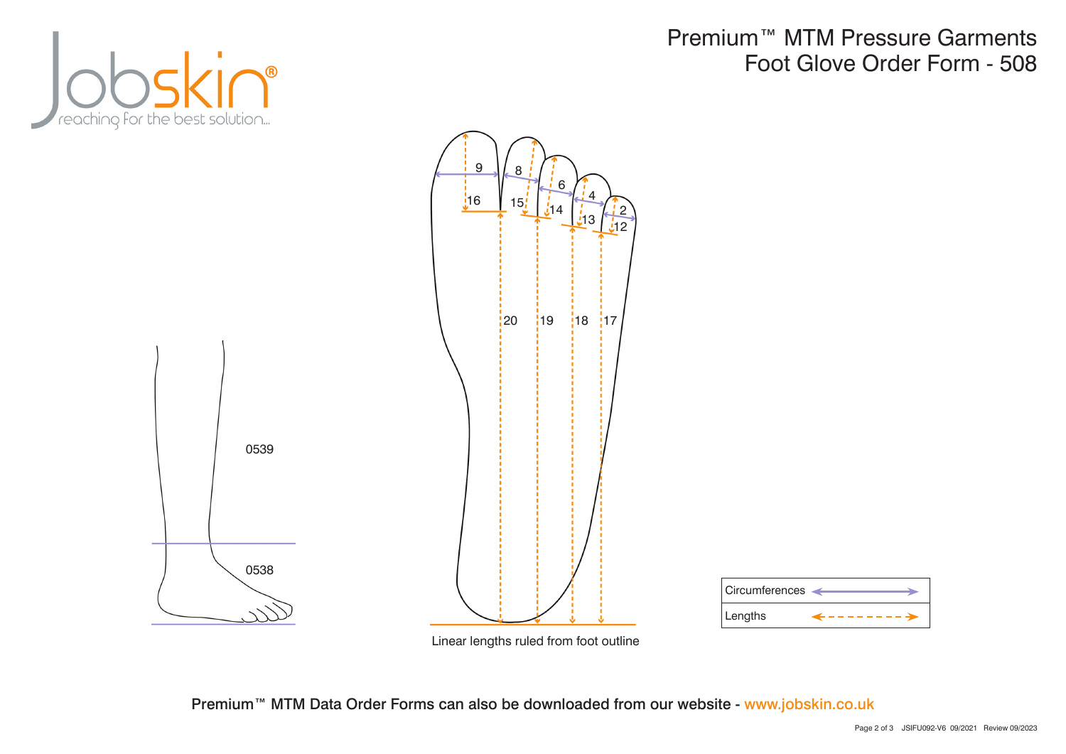

## Premium™ MTM Pressure Garments Foot Glove Order Form - 508





Premium<sup>™</sup> MTM Data Order Forms can also be downloaded from our website - www.jobskin.co.uk